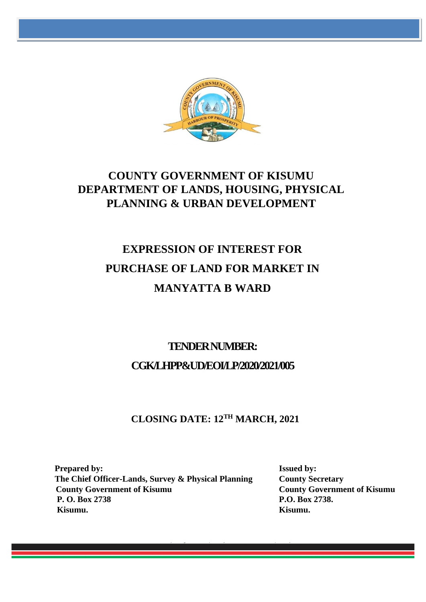

# **COUNTY GOVERNMENT OF KISUMU DEPARTMENT OF LANDS, HOUSING, PHYSICAL PLANNING & URBAN DEVELOPMENT**

# **EXPRESSION OF INTEREST FOR PURCHASE OF LAND FOR MARKET IN MANYATTA B WARD**

# **TENDER NUMBER: CGK/LHPP&UD/EOI/LP/2020/2021/005**

# **CLOSING DATE: 12 TH MARCH, 2021**

**Prepared by:** Issued by: **The Chief Officer-Lands, Survey & Physical Planning County Secretary County Government of Kisumu County Government of Kisumu P. O. Box 2738 P.O. Box 2738. Kisumu. Kisumu.**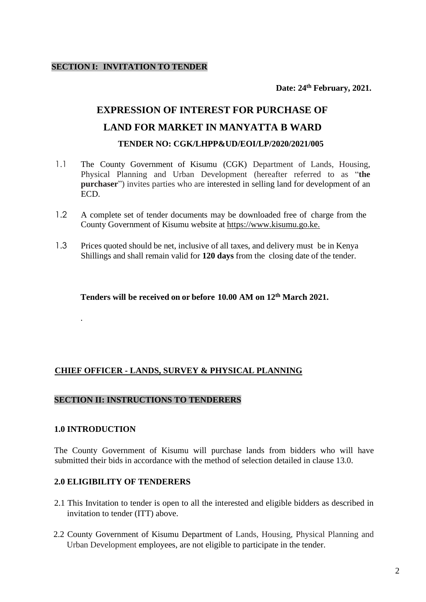**Date: 24th February, 2021.**

# **EXPRESSION OF INTEREST FOR PURCHASE OF LAND FOR MARKET IN MANYATTA B WARD TENDER NO: CGK/LHPP&UD/EOI/LP/2020/2021/005**

- 1.1 The County Government of Kisumu (CGK) Department of Lands, Housing, Physical Planning and Urban Development (hereafter referred to as "**the purchaser**") invites parties who are interested in selling land for development of an ECD.
- 1.2 A complete set of tender documents may be downloaded free of charge from the County Government of Kisumu website at [https://www.kisumu.go.ke.](https://www.kisumu.go.ke/)
- 1.3 Prices quoted should be net, inclusive of all taxes, and delivery must be in Kenya Shillings and shall remain valid for **120 days** from the closing date of the tender.

**Tenders will be received on or before 10.00 AM on 12 th March 2021.**

# **CHIEF OFFICER - LANDS, SURVEY & PHYSICAL PLANNING**

#### **SECTION II: INSTRUCTIONS TO TENDERERS**

#### **1.0 INTRODUCTION**

.

The County Government of Kisumu will purchase lands from bidders who will have submitted their bids in accordance with the method of selection detailed in clause 13.0.

#### **2.0 ELIGIBILITY OF TENDERERS**

- 2.1 This Invitation to tender is open to all the interested and eligible bidders as described in invitation to tender (ITT) above.
- 2.2 County Government of Kisumu Department of Lands, Housing, Physical Planning and Urban Development employees, are not eligible to participate in the tender.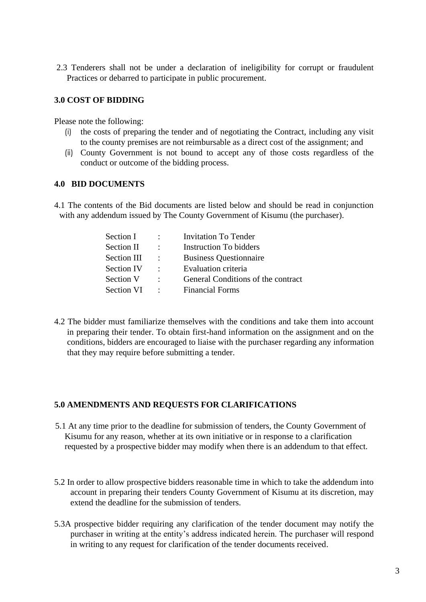2.3 Tenderers shall not be under a declaration of ineligibility for corrupt or fraudulent Practices or debarred to participate in public procurement.

### **3.0 COST OF BIDDING**

Please note the following:

- (i) the costs of preparing the tender and of negotiating the Contract, including any visit to the county premises are not reimbursable as a direct cost of the assignment; and
- (ii) County Government is not bound to accept any of those costs regardless of the conduct or outcome of the bidding process.

# **4.0 BID DOCUMENTS**

4.1 The contents of the Bid documents are listed below and should be read in conjunction with any addendum issued by The County Government of Kisumu (the purchaser).

| $\sim 1000$                | <b>Invitation To Tender</b>        |
|----------------------------|------------------------------------|
| $\bullet$ .                | Instruction To bidders             |
| $\sim$ 100 $\sim$          | <b>Business Questionnaire</b>      |
| $\mathcal{L}(\mathcal{L})$ | Evaluation criteria                |
| $\sim$                     | General Conditions of the contract |
| $\sim$ 100 $\sim$          | <b>Financial Forms</b>             |
|                            |                                    |

4.2 The bidder must familiarize themselves with the conditions and take them into account in preparing their tender. To obtain first-hand information on the assignment and on the conditions, bidders are encouraged to liaise with the purchaser regarding any information that they may require before submitting a tender.

#### **5.0 AMENDMENTS AND REQUESTS FOR CLARIFICATIONS**

- 5.1 At any time prior to the deadline for submission of tenders, the County Government of Kisumu for any reason, whether at its own initiative or in response to a clarification requested by a prospective bidder may modify when there is an addendum to that effect.
- 5.2 In order to allow prospective bidders reasonable time in which to take the addendum into account in preparing their tenders County Government of Kisumu at its discretion, may extend the deadline for the submission of tenders.
- 5.3A prospective bidder requiring any clarification of the tender document may notify the purchaser in writing at the entity's address indicated herein. The purchaser will respond in writing to any request for clarification of the tender documents received.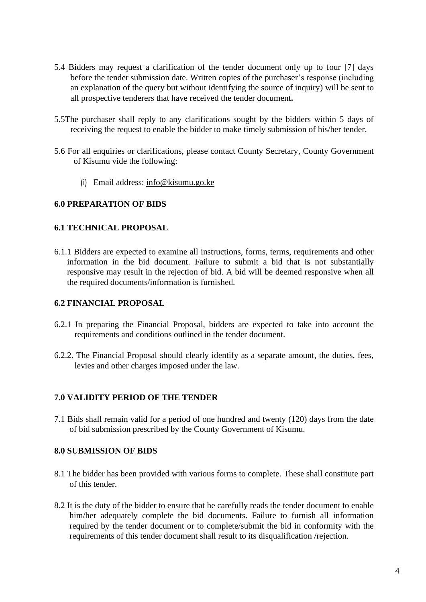- 5.4 Bidders may request a clarification of the tender document only up to four [7] days before the tender submission date. Written copies of the purchaser's response (including an explanation of the query but without identifying the source of inquiry) will be sent to all prospective tenderers that have received the tender document**.**
- 5.5The purchaser shall reply to any clarifications sought by the bidders within 5 days of receiving the request to enable the bidder to make timely submission of his/her tender.
- 5.6 For all enquiries or clarifications, please contact County Secretary, County Government of Kisumu vide the following:
	- (i) Email address: info@kisumu.go.ke

# **6.0 PREPARATION OF BIDS**

#### **6.1 TECHNICAL PROPOSAL**

6.1.1 Bidders are expected to examine all instructions, forms, terms, requirements and other information in the bid document. Failure to submit a bid that is not substantially responsive may result in the rejection of bid. A bid will be deemed responsive when all the required documents/information is furnished.

#### **6.2 FINANCIAL PROPOSAL**

- 6.2.1 In preparing the Financial Proposal, bidders are expected to take into account the requirements and conditions outlined in the tender document.
- 6.2.2. The Financial Proposal should clearly identify as a separate amount, the duties, fees, levies and other charges imposed under the law.

# **7.0 VALIDITY PERIOD OF THE TENDER**

7.1 Bids shall remain valid for a period of one hundred and twenty (120) days from the date of bid submission prescribed by the County Government of Kisumu.

# **8.0 SUBMISSION OF BIDS**

- 8.1 The bidder has been provided with various forms to complete. These shall constitute part of this tender.
- 8.2 It is the duty of the bidder to ensure that he carefully reads the tender document to enable him/her adequately complete the bid documents. Failure to furnish all information required by the tender document or to complete/submit the bid in conformity with the requirements of this tender document shall result to its disqualification /rejection.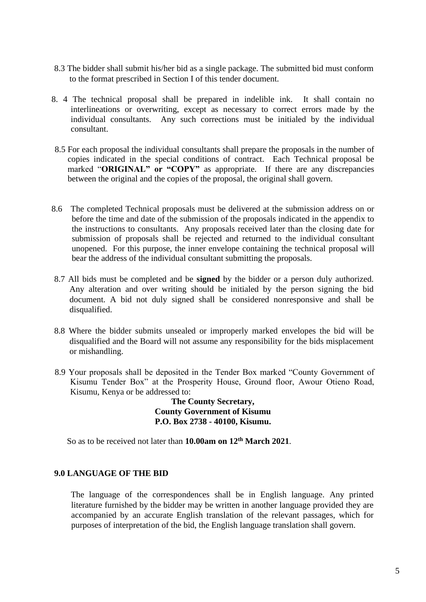- 8.3 The bidder shall submit his/her bid as a single package. The submitted bid must conform to the format prescribed in Section I of this tender document.
- 8. 4 The technical proposal shall be prepared in indelible ink. It shall contain no interlineations or overwriting, except as necessary to correct errors made by the individual consultants. Any such corrections must be initialed by the individual consultant.
- 8.5 For each proposal the individual consultants shall prepare the proposals in the number of copies indicated in the special conditions of contract. Each Technical proposal be marked "ORIGINAL" or "COPY" as appropriate. If there are any discrepancies between the original and the copies of the proposal, the original shall govern.
- 8.6 The completed Technical proposals must be delivered at the submission address on or before the time and date of the submission of the proposals indicated in the appendix to the instructions to consultants. Any proposals received later than the closing date for submission of proposals shall be rejected and returned to the individual consultant unopened. For this purpose, the inner envelope containing the technical proposal will bear the address of the individual consultant submitting the proposals.
- 8.7 All bids must be completed and be **signed** by the bidder or a person duly authorized. Any alteration and over writing should be initialed by the person signing the bid document. A bid not duly signed shall be considered nonresponsive and shall be disqualified.
- 8.8 Where the bidder submits unsealed or improperly marked envelopes the bid will be disqualified and the Board will not assume any responsibility for the bids misplacement or mishandling.
- 8.9 Your proposals shall be deposited in the Tender Box marked "County Government of Kisumu Tender Box" at the Prosperity House, Ground floor, Awour Otieno Road, Kisumu, Kenya or be addressed to:

**The County Secretary, County Government of Kisumu P.O. Box 2738 - 40100, Kisumu.**

So as to be received not later than **10.00am on 12 th March 2021**.

#### **9.0 LANGUAGE OF THE BID**

The language of the correspondences shall be in English language. Any printed literature furnished by the bidder may be written in another language provided they are accompanied by an accurate English translation of the relevant passages, which for purposes of interpretation of the bid, the English language translation shall govern.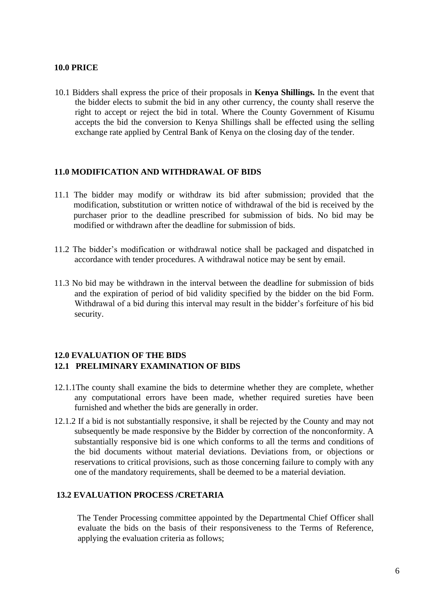### **10.0 PRICE**

10.1 Bidders shall express the price of their proposals in **Kenya Shillings.** In the event that the bidder elects to submit the bid in any other currency, the county shall reserve the right to accept or reject the bid in total. Where the County Government of Kisumu accepts the bid the conversion to Kenya Shillings shall be effected using the selling exchange rate applied by Central Bank of Kenya on the closing day of the tender.

#### **11.0 MODIFICATION AND WITHDRAWAL OF BIDS**

- 11.1 The bidder may modify or withdraw its bid after submission; provided that the modification, substitution or written notice of withdrawal of the bid is received by the purchaser prior to the deadline prescribed for submission of bids. No bid may be modified or withdrawn after the deadline for submission of bids.
- 11.2 The bidder's modification or withdrawal notice shall be packaged and dispatched in accordance with tender procedures. A withdrawal notice may be sent by email.
- 11.3 No bid may be withdrawn in the interval between the deadline for submission of bids and the expiration of period of bid validity specified by the bidder on the bid Form. Withdrawal of a bid during this interval may result in the bidder's forfeiture of his bid security.

# **12.0 EVALUATION OF THE BIDS 12.1 PRELIMINARY EXAMINATION OF BIDS**

- 12.1.1The county shall examine the bids to determine whether they are complete, whether any computational errors have been made, whether required sureties have been furnished and whether the bids are generally in order.
- 12.1.2 If a bid is not substantially responsive, it shall be rejected by the County and may not subsequently be made responsive by the Bidder by correction of the nonconformity. A substantially responsive bid is one which conforms to all the terms and conditions of the bid documents without material deviations. Deviations from, or objections or reservations to critical provisions, such as those concerning failure to comply with any one of the mandatory requirements, shall be deemed to be a material deviation.

# **13.2 EVALUATION PROCESS /CRETARIA**

The Tender Processing committee appointed by the Departmental Chief Officer shall evaluate the bids on the basis of their responsiveness to the Terms of Reference, applying the evaluation criteria as follows;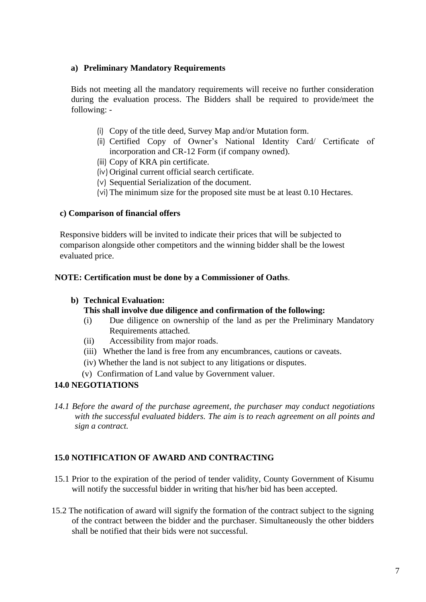### **a) Preliminary Mandatory Requirements**

Bids not meeting all the mandatory requirements will receive no further consideration during the evaluation process. The Bidders shall be required to provide/meet the following: -

- (i) Copy of the title deed, Survey Map and/or Mutation form.
- (ii) Certified Copy of Owner's National Identity Card/ Certificate of incorporation and CR-12 Form (if company owned).
- (iii) Copy of KRA pin certificate.
- (iv)Original current official search certificate.
- (v) Sequential Serialization of the document.
- (vi)The minimum size for the proposed site must be at least 0.10 Hectares.

#### **c) Comparison of financial offers**

Responsive bidders will be invited to indicate their prices that will be subjected to comparison alongside other competitors and the winning bidder shall be the lowest evaluated price.

#### **NOTE: Certification must be done by a Commissioner of Oaths**.

### **b) Technical Evaluation:**

- **This shall involve due diligence and confirmation of the following:**
- (i) Due diligence on ownership of the land as per the Preliminary Mandatory Requirements attached.
- (ii) Accessibility from major roads.
- (iii) Whether the land is free from any encumbrances, cautions or caveats.
- (iv) Whether the land is not subject to any litigations or disputes.
- (v) Confirmation of Land value by Government valuer.

# **14.0 NEGOTIATIONS**

*14.1 Before the award of the purchase agreement, the purchaser may conduct negotiations with the successful evaluated bidders. The aim is to reach agreement on all points and sign a contract.* 

# **15.0 NOTIFICATION OF AWARD AND CONTRACTING**

- 15.1 Prior to the expiration of the period of tender validity, County Government of Kisumu will notify the successful bidder in writing that his/her bid has been accepted.
- 15.2 The notification of award will signify the formation of the contract subject to the signing of the contract between the bidder and the purchaser. Simultaneously the other bidders shall be notified that their bids were not successful.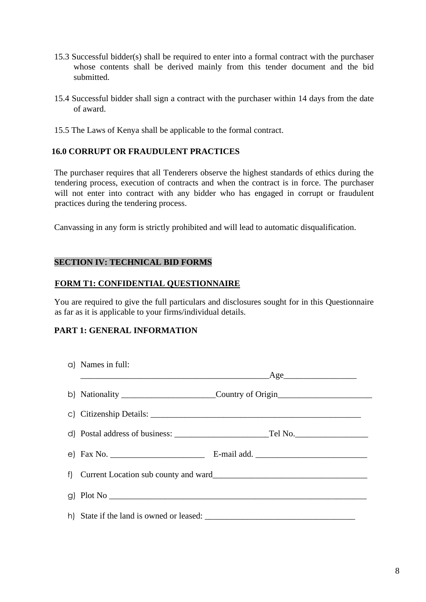- 15.3 Successful bidder(s) shall be required to enter into a formal contract with the purchaser whose contents shall be derived mainly from this tender document and the bid submitted.
- 15.4 Successful bidder shall sign a contract with the purchaser within 14 days from the date of award.
- 15.5 The Laws of Kenya shall be applicable to the formal contract.

# **16.0 CORRUPT OR FRAUDULENT PRACTICES**

The purchaser requires that all Tenderers observe the highest standards of ethics during the tendering process, execution of contracts and when the contract is in force. The purchaser will not enter into contract with any bidder who has engaged in corrupt or fraudulent practices during the tendering process.

Canvassing in any form is strictly prohibited and will lead to automatic disqualification.

# **SECTION IV: TECHNICAL BID FORMS**

#### **FORM T1: CONFIDENTIAL QUESTIONNAIRE**

You are required to give the full particulars and disclosures sought for in this Questionnaire as far as it is applicable to your firms/individual details.

# **PART 1: GENERAL INFORMATION**

| a) Names in full: |                                                             |  |
|-------------------|-------------------------------------------------------------|--|
|                   |                                                             |  |
|                   | b) Nationality ___________________________Country of Origin |  |
|                   |                                                             |  |
|                   |                                                             |  |
|                   |                                                             |  |
|                   |                                                             |  |
|                   |                                                             |  |
|                   |                                                             |  |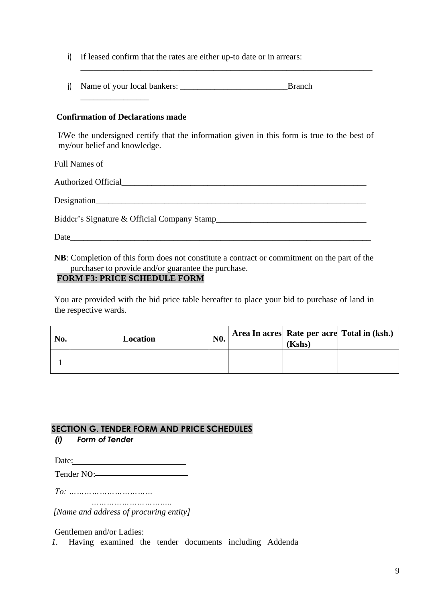- i) If leased confirm that the rates are either up-to date or in arrears:
- j) Name of your local bankers: \_\_\_\_\_\_\_\_\_\_\_\_\_\_\_\_\_\_\_\_\_\_\_\_\_Branch

### **Confirmation of Declarations made**

\_\_\_\_\_\_\_\_\_\_\_\_\_\_\_\_

I/We the undersigned certify that the information given in this form is true to the best of my/our belief and knowledge.

\_\_\_\_\_\_\_\_\_\_\_\_\_\_\_\_\_\_\_\_\_\_\_\_\_\_\_\_\_\_\_\_\_\_\_\_\_\_\_\_\_\_\_\_\_\_\_\_\_\_\_\_\_\_\_\_\_\_\_\_\_\_\_\_\_\_\_\_

Full Names of

Authorized Official

Designation

Bidder's Signature & Official Company Stamp\_\_\_\_\_\_\_\_\_\_\_\_\_\_\_\_\_\_\_\_\_\_\_\_\_\_\_\_\_\_\_\_\_\_\_

Date

**NB**: Completion of this form does not constitute a contract or commitment on the part of the purchaser to provide and/or guarantee the purchase.

# **FORM F3: PRICE SCHEDULE FORM**

You are provided with the bid price table hereafter to place your bid to purchase of land in the respective wards.

| No. | Location | N <sub>0</sub> . | (Kshs) | Area In acres Rate per acre Total in (ksh.) |
|-----|----------|------------------|--------|---------------------------------------------|
|     |          |                  |        |                                             |

# **SECTION G. TENDER FORM AND PRICE SCHEDULES**

# *(i) Form of Tender*

Date:

Tender NO:

*To: ……………………………*

*………………………….. [Name and address of procuring entity]*

Gentlemen and/or Ladies:

*1.* Having examined the tender documents including Addenda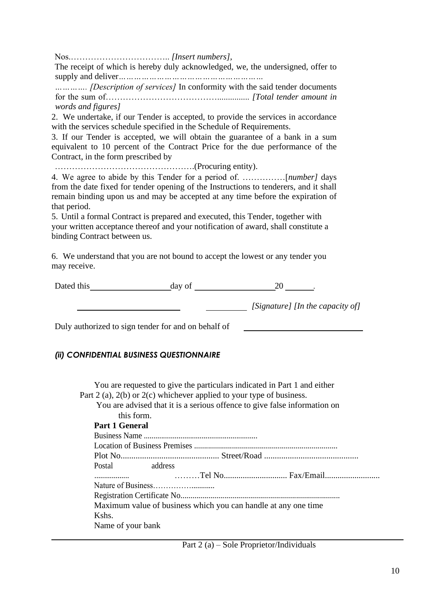Nos.…………………………….. *[Insert numbers],*

The receipt of which is hereby duly acknowledged, we, the undersigned, offer to supply and deliver*…………………………………………………*

*…………. [Description of services]* In conformity with the said tender documents for the sum of…………………………………............... *[Total tender amount in words and figures]*

2. We undertake, if our Tender is accepted, to provide the services in accordance with the services schedule specified in the Schedule of Requirements.

3. If our Tender is accepted, we will obtain the guarantee of a bank in a sum equivalent to 10 percent of the Contract Price for the due performance of the Contract, in the form prescribed by

………………………………………….(Procuring entity).

4. We agree to abide by this Tender for a period of. ……………[*number]* days from the date fixed for tender opening of the Instructions to tenderers, and it shall remain binding upon us and may be accepted at any time before the expiration of that period.

5. Until a formal Contract is prepared and executed, this Tender, together with your written acceptance thereof and your notification of award, shall constitute a binding Contract between us.

6. We understand that you are not bound to accept the lowest or any tender you may receive.

| Dated this | day of |                                  |
|------------|--------|----------------------------------|
|            |        | [Signature] [In the capacity of] |

Duly authorized to sign tender for and on behalf of

#### *(ii) CONFIDENTIAL BUSINESS QUESTIONNAIRE*

You are requested to give the particulars indicated in Part 1 and either Part 2 (a), 2(b) or 2(c) whichever applied to your type of business. You are advised that it is a serious offence to give false information on this form.

| UHN IVIIII.                                                    |  |
|----------------------------------------------------------------|--|
| <b>Part 1 General</b>                                          |  |
|                                                                |  |
|                                                                |  |
|                                                                |  |
| Postal address                                                 |  |
|                                                                |  |
|                                                                |  |
|                                                                |  |
| Maximum value of business which you can handle at any one time |  |
| Kshs.                                                          |  |
| Name of your bank                                              |  |
|                                                                |  |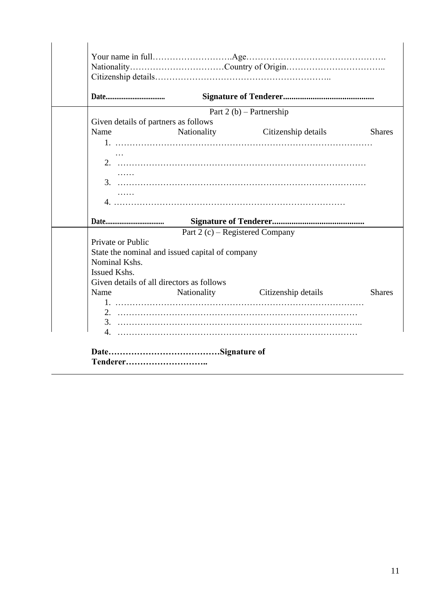|                   |                                                 | Part $2(b)$ – Partnership       |               |
|-------------------|-------------------------------------------------|---------------------------------|---------------|
|                   | Given details of partners as follows            |                                 |               |
| Name              |                                                 | Nationality Citizenship details | <b>Shares</b> |
|                   |                                                 |                                 |               |
|                   |                                                 |                                 |               |
|                   |                                                 |                                 |               |
| 1.1.1.1.1         |                                                 |                                 |               |
|                   |                                                 |                                 |               |
| .                 |                                                 |                                 |               |
|                   |                                                 |                                 |               |
|                   |                                                 |                                 |               |
|                   |                                                 |                                 |               |
|                   | Part 2 $(c)$ – Registered Company               |                                 |               |
| Private or Public |                                                 |                                 |               |
|                   | State the nominal and issued capital of company |                                 |               |
| Nominal Kshs.     |                                                 |                                 |               |
| Issued Kshs.      |                                                 |                                 |               |
|                   | Given details of all directors as follows       |                                 |               |
| Name              | Nationality                                     | Citizenship details             | <b>Shares</b> |
|                   |                                                 |                                 |               |
|                   |                                                 |                                 |               |